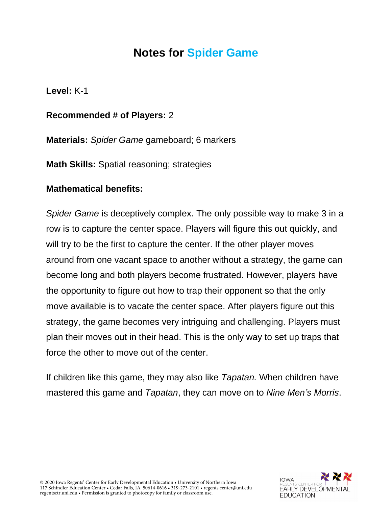## **Notes for Spider Game**

**Level:** K-1

## **Recommended # of Players:** 2

**Materials:** *Spider Game* gameboard; 6 markers

**Math Skills:** Spatial reasoning; strategies

## **Mathematical benefits:**

*Spider Game* is deceptively complex. The only possible way to make 3 in a row is to capture the center space. Players will figure this out quickly, and will try to be the first to capture the center. If the other player moves around from one vacant space to another without a strategy, the game can become long and both players become frustrated. However, players have the opportunity to figure out how to trap their opponent so that the only move available is to vacate the center space. After players figure out this strategy, the game becomes very intriguing and challenging. Players must plan their moves out in their head. This is the only way to set up traps that force the other to move out of the center.

If children like this game, they may also like *Tapatan.* When children have mastered this game and *Tapatan*, they can move on to *Nine Men's Morris*.



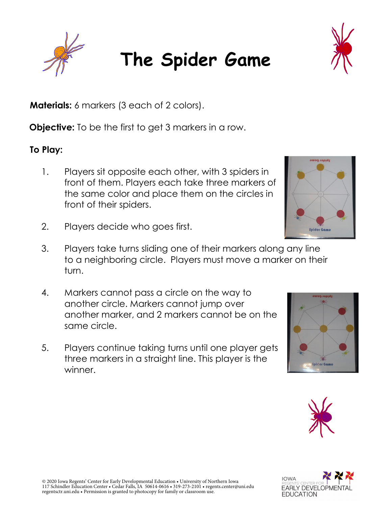## **The Spider Game**

**Materials:** 6 markers (3 each of 2 colors).

**Objective:** To be the first to get 3 markers in a row.

**To Play:** 

- 1. Players sit opposite each other, with 3 spiders in front of them. Players each take three markers of the same color and place them on the circles in front of their spiders.
- 2. Players decide who goes first.
- 3. Players take turns sliding one of their markers along any line to a neighboring circle. Players must move a marker on their turn.
- 4. Markers cannot pass a circle on the way to another circle. Markers cannot jump over another marker, and 2 markers cannot be on the same circle.
- 5. Players continue taking turns until one player gets three markers in a straight line. This player is the winner.







**IOWA** 

**EARLY DEVELOPMEN** 

**EDUCATION**